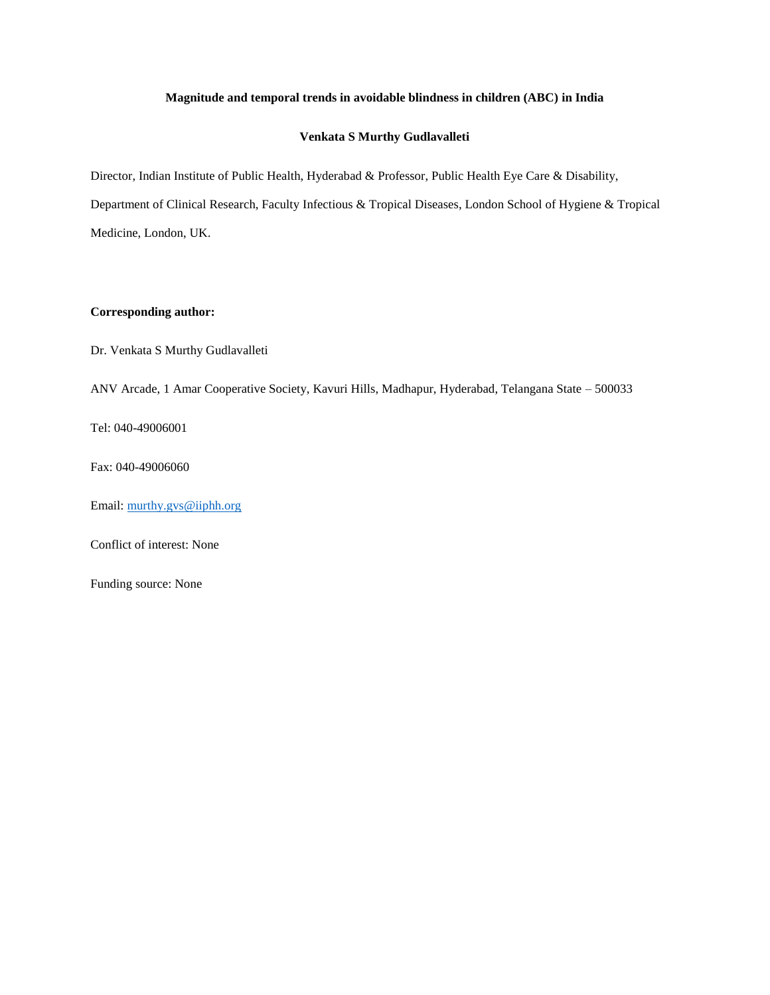## **Magnitude and temporal trends in avoidable blindness in children (ABC) in India**

## **Venkata S Murthy Gudlavalleti**

Director, Indian Institute of Public Health, Hyderabad & Professor, Public Health Eye Care & Disability, Department of Clinical Research, Faculty Infectious & Tropical Diseases, London School of Hygiene & Tropical Medicine, London, UK.

## **Corresponding author:**

Dr. Venkata S Murthy Gudlavalleti

ANV Arcade, 1 Amar Cooperative Society, Kavuri Hills, Madhapur, Hyderabad, Telangana State – 500033

Tel: 040-49006001

Fax: 040-49006060

Email: [murthy.gvs@iiphh.org](mailto:murthy.gvs@iiphh.org)

Conflict of interest: None

Funding source: None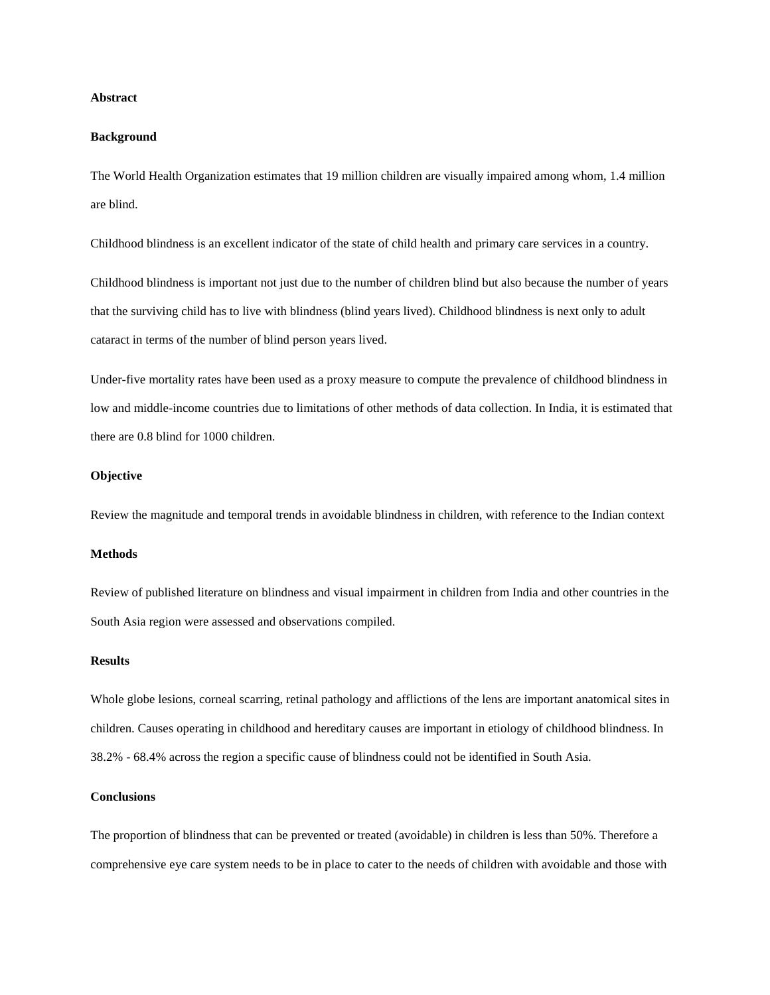## **Abstract**

## **Background**

The World Health Organization estimates that 19 million children are visually impaired among whom, 1.4 million are blind.

Childhood blindness is an excellent indicator of the state of child health and primary care services in a country.

Childhood blindness is important not just due to the number of children blind but also because the number of years that the surviving child has to live with blindness (blind years lived). Childhood blindness is next only to adult cataract in terms of the number of blind person years lived.

Under-five mortality rates have been used as a proxy measure to compute the prevalence of childhood blindness in low and middle-income countries due to limitations of other methods of data collection. In India, it is estimated that there are 0.8 blind for 1000 children.

### **Objective**

Review the magnitude and temporal trends in avoidable blindness in children, with reference to the Indian context

## **Methods**

Review of published literature on blindness and visual impairment in children from India and other countries in the South Asia region were assessed and observations compiled.

#### **Results**

Whole globe lesions, corneal scarring, retinal pathology and afflictions of the lens are important anatomical sites in children. Causes operating in childhood and hereditary causes are important in etiology of childhood blindness. In 38.2% - 68.4% across the region a specific cause of blindness could not be identified in South Asia.

### **Conclusions**

The proportion of blindness that can be prevented or treated (avoidable) in children is less than 50%. Therefore a comprehensive eye care system needs to be in place to cater to the needs of children with avoidable and those with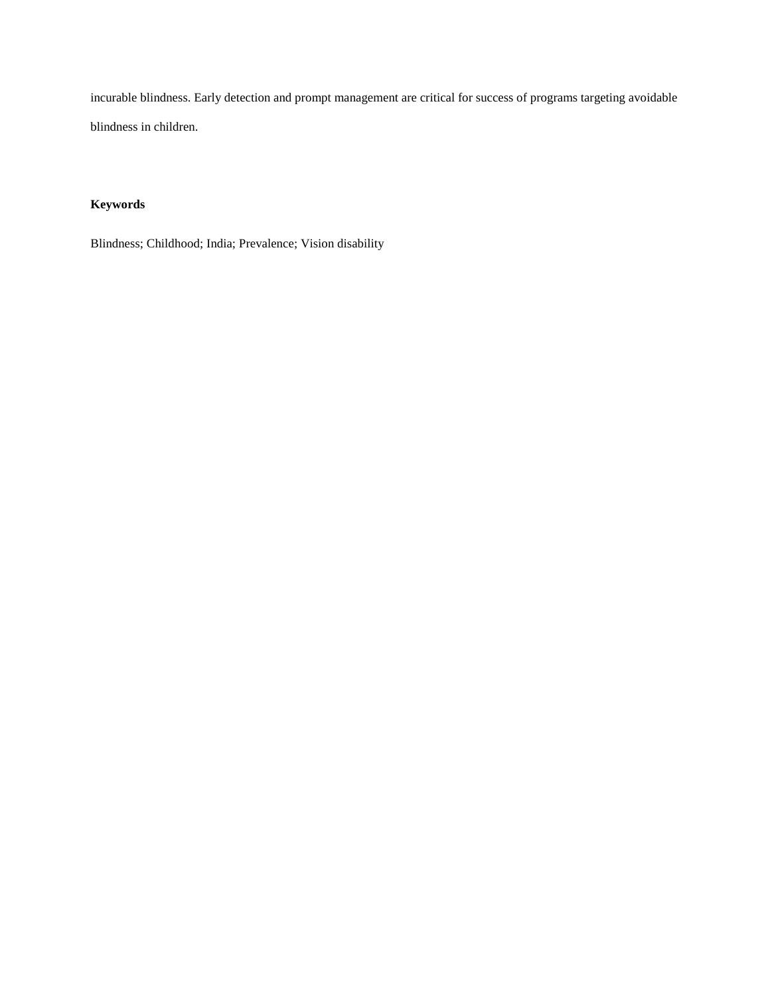incurable blindness. Early detection and prompt management are critical for success of programs targeting avoidable blindness in children.

# **Keywords**

Blindness; Childhood; India; Prevalence; Vision disability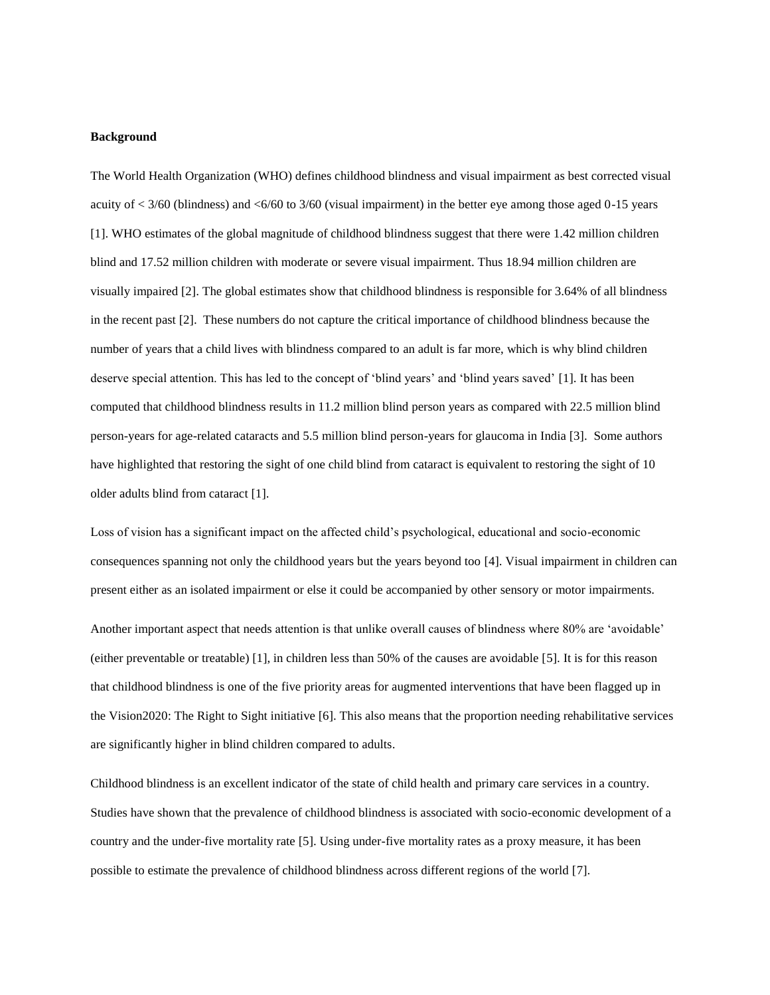## **Background**

The World Health Organization (WHO) defines childhood blindness and visual impairment as best corrected visual acuity of  $\lt$  3/60 (blindness) and  $\lt$  6/60 to 3/60 (visual impairment) in the better eye among those aged 0-15 years [1]. WHO estimates of the global magnitude of childhood blindness suggest that there were 1.42 million children blind and 17.52 million children with moderate or severe visual impairment. Thus 18.94 million children are visually impaired [2]. The global estimates show that childhood blindness is responsible for 3.64% of all blindness in the recent past [2]. These numbers do not capture the critical importance of childhood blindness because the number of years that a child lives with blindness compared to an adult is far more, which is why blind children deserve special attention. This has led to the concept of 'blind years' and 'blind years saved' [1]. It has been computed that childhood blindness results in 11.2 million blind person years as compared with 22.5 million blind person-years for age-related cataracts and 5.5 million blind person-years for glaucoma in India [3]. Some authors have highlighted that restoring the sight of one child blind from cataract is equivalent to restoring the sight of 10 older adults blind from cataract [1].

Loss of vision has a significant impact on the affected child's psychological, educational and socio-economic consequences spanning not only the childhood years but the years beyond too [4]. Visual impairment in children can present either as an isolated impairment or else it could be accompanied by other sensory or motor impairments. Another important aspect that needs attention is that unlike overall causes of blindness where 80% are 'avoidable' (either preventable or treatable) [1], in children less than 50% of the causes are avoidable [5]. It is for this reason that childhood blindness is one of the five priority areas for augmented interventions that have been flagged up in the Vision2020: The Right to Sight initiative [6]. This also means that the proportion needing rehabilitative services

are significantly higher in blind children compared to adults.

Childhood blindness is an excellent indicator of the state of child health and primary care services in a country. Studies have shown that the prevalence of childhood blindness is associated with socio-economic development of a country and the under-five mortality rate [5]. Using under-five mortality rates as a proxy measure, it has been possible to estimate the prevalence of childhood blindness across different regions of the world [7].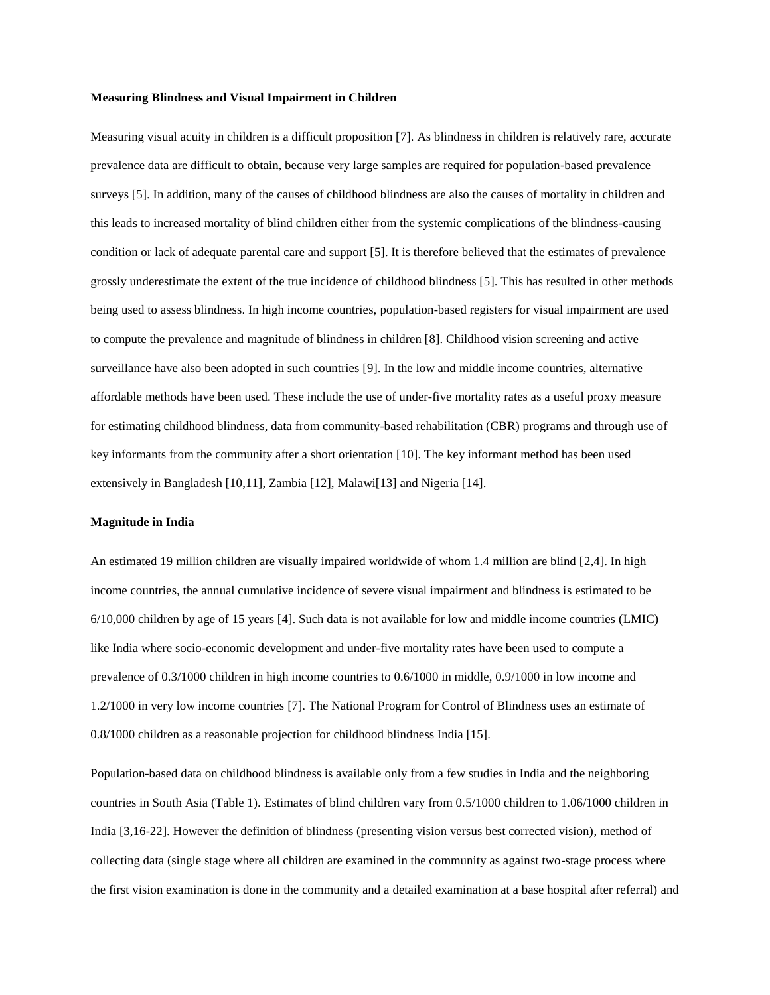#### **Measuring Blindness and Visual Impairment in Children**

Measuring visual acuity in children is a difficult proposition [7]. As blindness in children is relatively rare, accurate prevalence data are difficult to obtain, because very large samples are required for population-based prevalence surveys [5]. In addition, many of the causes of childhood blindness are also the causes of mortality in children and this leads to increased mortality of blind children either from the systemic complications of the blindness-causing condition or lack of adequate parental care and support [5]. It is therefore believed that the estimates of prevalence grossly underestimate the extent of the true incidence of childhood blindness [5]. This has resulted in other methods being used to assess blindness. In high income countries, population-based registers for visual impairment are used to compute the prevalence and magnitude of blindness in children [8]. Childhood vision screening and active surveillance have also been adopted in such countries [9]. In the low and middle income countries, alternative affordable methods have been used. These include the use of under-five mortality rates as a useful proxy measure for estimating childhood blindness, data from community-based rehabilitation (CBR) programs and through use of key informants from the community after a short orientation [10]. The key informant method has been used extensively in Bangladesh [10,11], Zambia [12], Malawi[13] and Nigeria [14].

#### **Magnitude in India**

An estimated 19 million children are visually impaired worldwide of whom 1.4 million are blind [2,4]. In high income countries, the annual cumulative incidence of severe visual impairment and blindness is estimated to be 6/10,000 children by age of 15 years [4]. Such data is not available for low and middle income countries (LMIC) like India where socio-economic development and under-five mortality rates have been used to compute a prevalence of 0.3/1000 children in high income countries to 0.6/1000 in middle, 0.9/1000 in low income and 1.2/1000 in very low income countries [7]. The National Program for Control of Blindness uses an estimate of 0.8/1000 children as a reasonable projection for childhood blindness India [15].

Population-based data on childhood blindness is available only from a few studies in India and the neighboring countries in South Asia (Table 1). Estimates of blind children vary from 0.5/1000 children to 1.06/1000 children in India [3,16-22]. However the definition of blindness (presenting vision versus best corrected vision), method of collecting data (single stage where all children are examined in the community as against two-stage process where the first vision examination is done in the community and a detailed examination at a base hospital after referral) and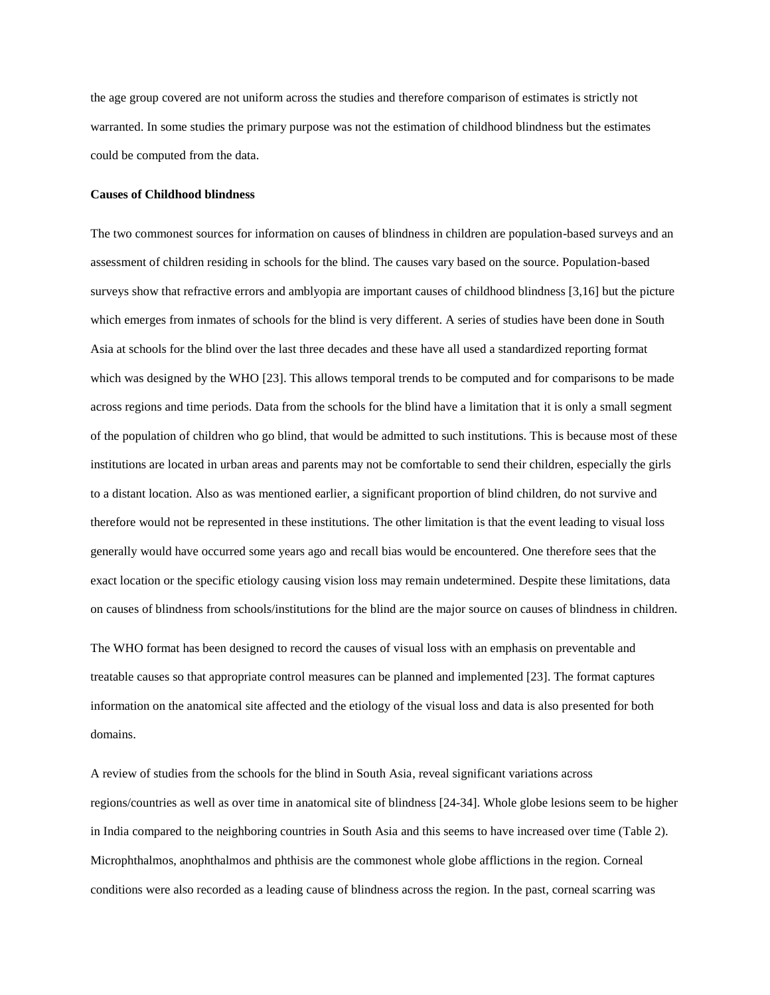the age group covered are not uniform across the studies and therefore comparison of estimates is strictly not warranted. In some studies the primary purpose was not the estimation of childhood blindness but the estimates could be computed from the data.

### **Causes of Childhood blindness**

The two commonest sources for information on causes of blindness in children are population-based surveys and an assessment of children residing in schools for the blind. The causes vary based on the source. Population-based surveys show that refractive errors and amblyopia are important causes of childhood blindness [3,16] but the picture which emerges from inmates of schools for the blind is very different. A series of studies have been done in South Asia at schools for the blind over the last three decades and these have all used a standardized reporting format which was designed by the WHO [23]. This allows temporal trends to be computed and for comparisons to be made across regions and time periods. Data from the schools for the blind have a limitation that it is only a small segment of the population of children who go blind, that would be admitted to such institutions. This is because most of these institutions are located in urban areas and parents may not be comfortable to send their children, especially the girls to a distant location. Also as was mentioned earlier, a significant proportion of blind children, do not survive and therefore would not be represented in these institutions. The other limitation is that the event leading to visual loss generally would have occurred some years ago and recall bias would be encountered. One therefore sees that the exact location or the specific etiology causing vision loss may remain undetermined. Despite these limitations, data on causes of blindness from schools/institutions for the blind are the major source on causes of blindness in children.

The WHO format has been designed to record the causes of visual loss with an emphasis on preventable and treatable causes so that appropriate control measures can be planned and implemented [23]. The format captures information on the anatomical site affected and the etiology of the visual loss and data is also presented for both domains.

A review of studies from the schools for the blind in South Asia, reveal significant variations across regions/countries as well as over time in anatomical site of blindness [24-34]. Whole globe lesions seem to be higher in India compared to the neighboring countries in South Asia and this seems to have increased over time (Table 2). Microphthalmos, anophthalmos and phthisis are the commonest whole globe afflictions in the region. Corneal conditions were also recorded as a leading cause of blindness across the region. In the past, corneal scarring was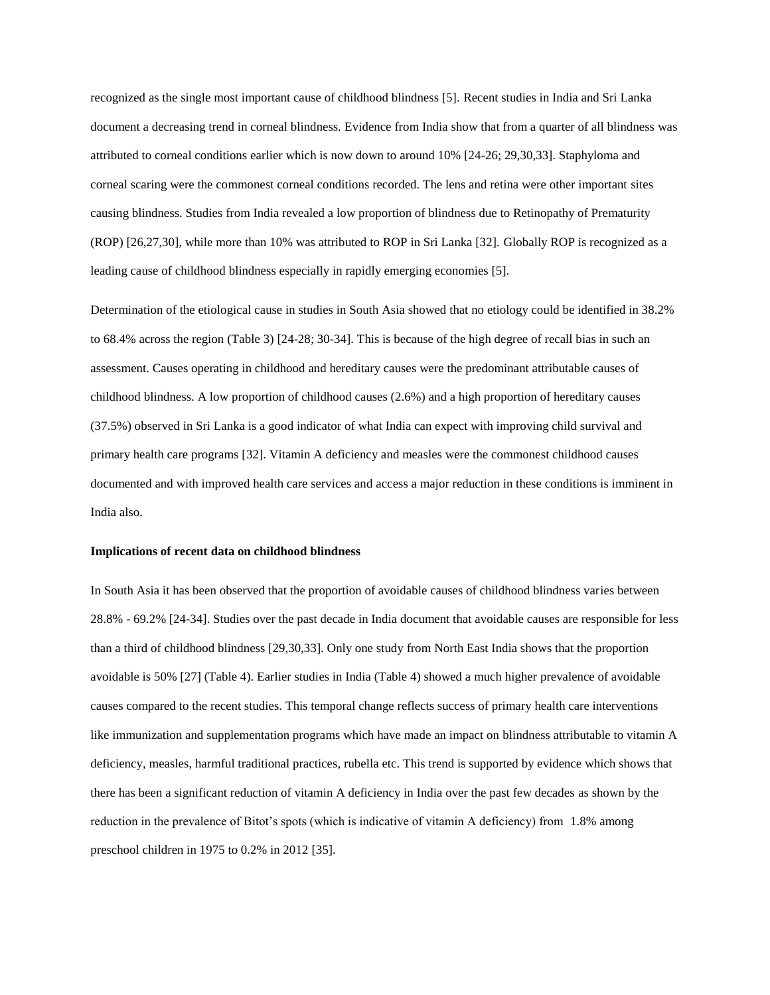recognized as the single most important cause of childhood blindness [5]. Recent studies in India and Sri Lanka document a decreasing trend in corneal blindness. Evidence from India show that from a quarter of all blindness was attributed to corneal conditions earlier which is now down to around 10% [24-26; 29,30,33]. Staphyloma and corneal scaring were the commonest corneal conditions recorded. The lens and retina were other important sites causing blindness. Studies from India revealed a low proportion of blindness due to Retinopathy of Prematurity (ROP) [26,27,30], while more than 10% was attributed to ROP in Sri Lanka [32]. Globally ROP is recognized as a leading cause of childhood blindness especially in rapidly emerging economies [5].

Determination of the etiological cause in studies in South Asia showed that no etiology could be identified in 38.2% to 68.4% across the region (Table 3) [24-28; 30-34]. This is because of the high degree of recall bias in such an assessment. Causes operating in childhood and hereditary causes were the predominant attributable causes of childhood blindness. A low proportion of childhood causes (2.6%) and a high proportion of hereditary causes (37.5%) observed in Sri Lanka is a good indicator of what India can expect with improving child survival and primary health care programs [32]. Vitamin A deficiency and measles were the commonest childhood causes documented and with improved health care services and access a major reduction in these conditions is imminent in India also.

## **Implications of recent data on childhood blindness**

In South Asia it has been observed that the proportion of avoidable causes of childhood blindness varies between 28.8% - 69.2% [24-34]. Studies over the past decade in India document that avoidable causes are responsible for less than a third of childhood blindness [29,30,33]. Only one study from North East India shows that the proportion avoidable is 50% [27] (Table 4). Earlier studies in India (Table 4) showed a much higher prevalence of avoidable causes compared to the recent studies. This temporal change reflects success of primary health care interventions like immunization and supplementation programs which have made an impact on blindness attributable to vitamin A deficiency, measles, harmful traditional practices, rubella etc. This trend is supported by evidence which shows that there has been a significant reduction of vitamin A deficiency in India over the past few decades as shown by the reduction in the prevalence of Bitot's spots (which is indicative of vitamin A deficiency) from 1.8% among preschool children in 1975 to 0.2% in 2012 [35].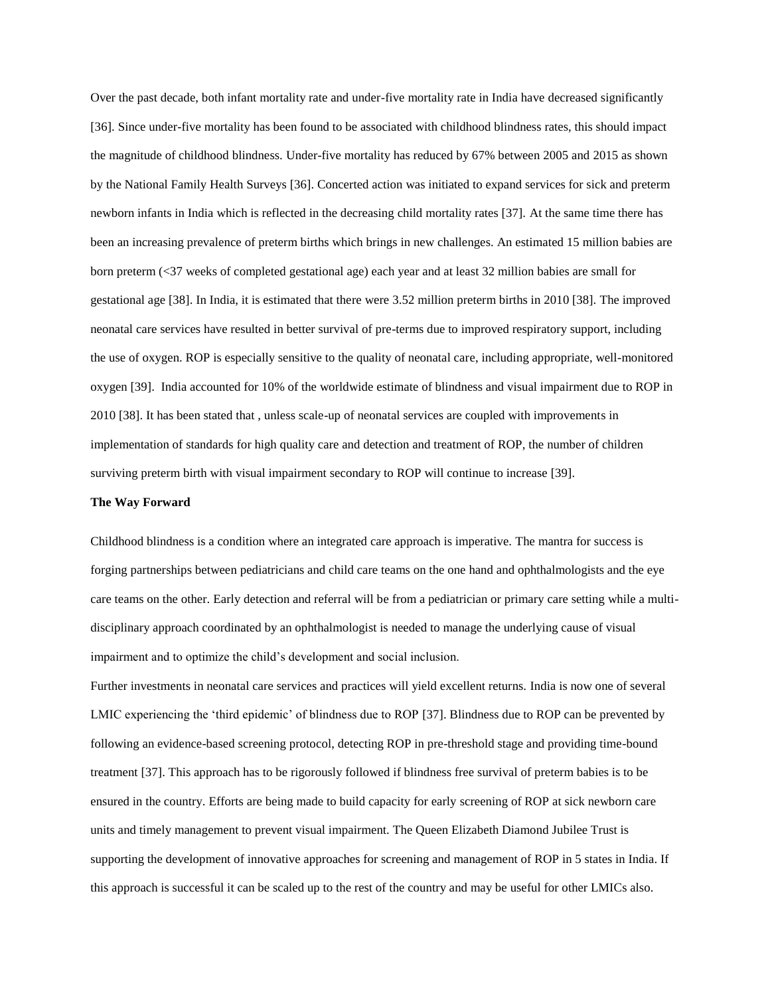Over the past decade, both infant mortality rate and under-five mortality rate in India have decreased significantly [36]. Since under-five mortality has been found to be associated with childhood blindness rates, this should impact the magnitude of childhood blindness. Under-five mortality has reduced by 67% between 2005 and 2015 as shown by the National Family Health Surveys [36]. Concerted action was initiated to expand services for sick and preterm newborn infants in India which is reflected in the decreasing child mortality rates [37]. At the same time there has been an increasing prevalence of preterm births which brings in new challenges. An estimated 15 million babies are born preterm (<37 weeks of completed gestational age) each year and at least 32 million babies are small for gestational age [38]. In India, it is estimated that there were 3.52 million preterm births in 2010 [38]. The improved neonatal care services have resulted in better survival of pre-terms due to improved respiratory support, including the use of oxygen. ROP is especially sensitive to the quality of neonatal care, including appropriate, well-monitored oxygen [39]. India accounted for 10% of the worldwide estimate of blindness and visual impairment due to ROP in 2010 [38]. It has been stated that , unless scale-up of neonatal services are coupled with improvements in implementation of standards for high quality care and detection and treatment of ROP, the number of children surviving preterm birth with visual impairment secondary to ROP will continue to increase [39].

#### **The Way Forward**

Childhood blindness is a condition where an integrated care approach is imperative. The mantra for success is forging partnerships between pediatricians and child care teams on the one hand and ophthalmologists and the eye care teams on the other. Early detection and referral will be from a pediatrician or primary care setting while a multidisciplinary approach coordinated by an ophthalmologist is needed to manage the underlying cause of visual impairment and to optimize the child's development and social inclusion.

Further investments in neonatal care services and practices will yield excellent returns. India is now one of several LMIC experiencing the 'third epidemic' of blindness due to ROP [37]. Blindness due to ROP can be prevented by following an evidence-based screening protocol, detecting ROP in pre-threshold stage and providing time-bound treatment [37]. This approach has to be rigorously followed if blindness free survival of preterm babies is to be ensured in the country. Efforts are being made to build capacity for early screening of ROP at sick newborn care units and timely management to prevent visual impairment. The Queen Elizabeth Diamond Jubilee Trust is supporting the development of innovative approaches for screening and management of ROP in 5 states in India. If this approach is successful it can be scaled up to the rest of the country and may be useful for other LMICs also.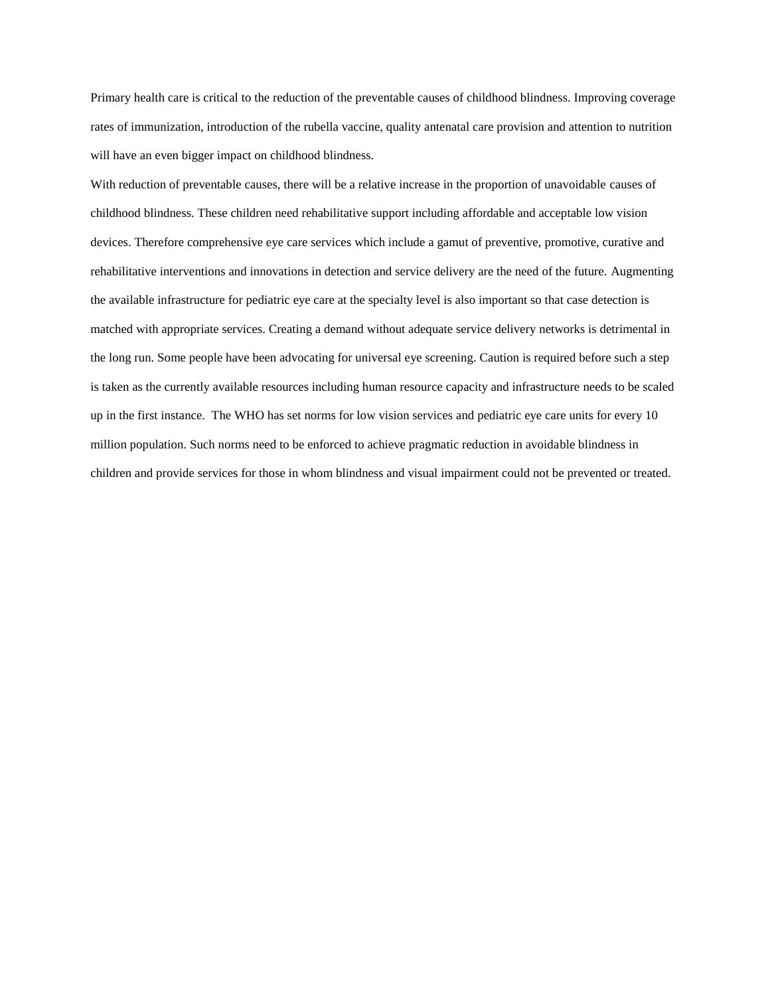Primary health care is critical to the reduction of the preventable causes of childhood blindness. Improving coverage rates of immunization, introduction of the rubella vaccine, quality antenatal care provision and attention to nutrition will have an even bigger impact on childhood blindness.

With reduction of preventable causes, there will be a relative increase in the proportion of unavoidable causes of childhood blindness. These children need rehabilitative support including affordable and acceptable low vision devices. Therefore comprehensive eye care services which include a gamut of preventive, promotive, curative and rehabilitative interventions and innovations in detection and service delivery are the need of the future. Augmenting the available infrastructure for pediatric eye care at the specialty level is also important so that case detection is matched with appropriate services. Creating a demand without adequate service delivery networks is detrimental in the long run. Some people have been advocating for universal eye screening. Caution is required before such a step is taken as the currently available resources including human resource capacity and infrastructure needs to be scaled up in the first instance. The WHO has set norms for low vision services and pediatric eye care units for every 10 million population. Such norms need to be enforced to achieve pragmatic reduction in avoidable blindness in children and provide services for those in whom blindness and visual impairment could not be prevented or treated.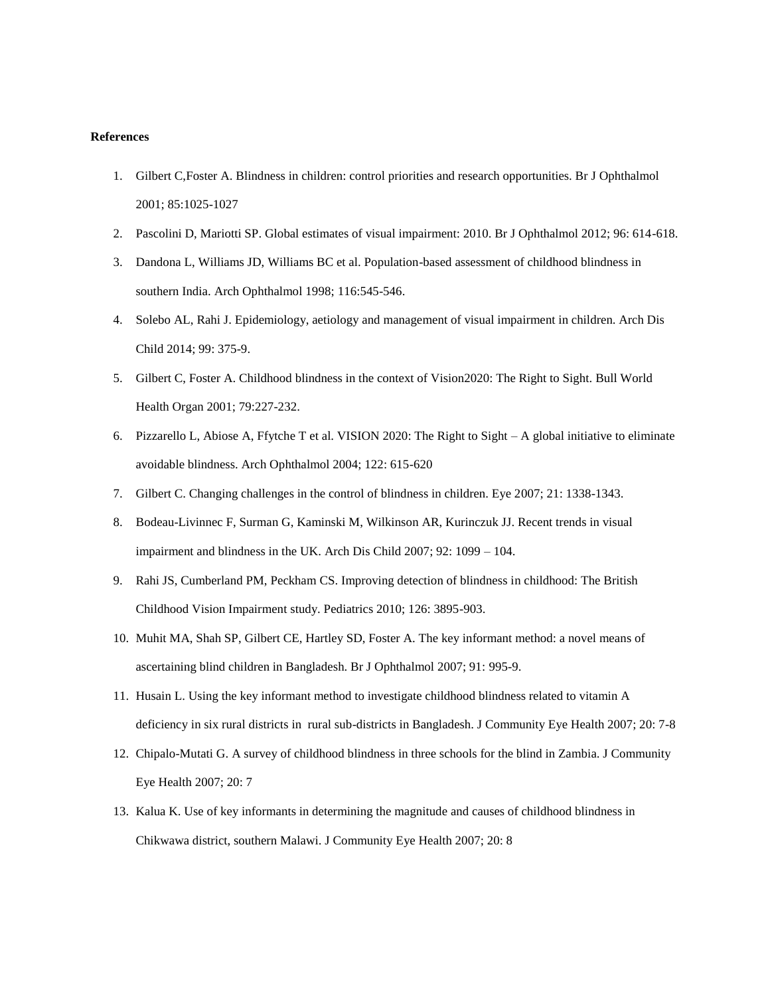## **References**

- 1. Gilbert C,Foster A. Blindness in children: control priorities and research opportunities. Br J Ophthalmol 2001; 85:1025-1027
- 2. Pascolini D, Mariotti SP. Global estimates of visual impairment: 2010. Br J Ophthalmol 2012; 96: 614-618.
- 3. Dandona L, Williams JD, Williams BC et al. Population-based assessment of childhood blindness in southern India. Arch Ophthalmol 1998; 116:545-546.
- 4. Solebo AL, Rahi J. Epidemiology, aetiology and management of visual impairment in children. Arch Dis Child 2014; 99: 375-9.
- 5. Gilbert C, Foster A. Childhood blindness in the context of Vision2020: The Right to Sight. Bull World Health Organ 2001; 79:227-232.
- 6. Pizzarello L, Abiose A, Ffytche T et al. VISION 2020: The Right to Sight A global initiative to eliminate avoidable blindness. Arch Ophthalmol 2004; 122: 615-620
- 7. Gilbert C. Changing challenges in the control of blindness in children. Eye 2007; 21: 1338-1343.
- 8. Bodeau-Livinnec F, Surman G, Kaminski M, Wilkinson AR, Kurinczuk JJ. Recent trends in visual impairment and blindness in the UK. Arch Dis Child 2007; 92: 1099 – 104.
- 9. Rahi JS, Cumberland PM, Peckham CS. Improving detection of blindness in childhood: The British Childhood Vision Impairment study. Pediatrics 2010; 126: 3895-903.
- 10. Muhit MA, Shah SP, Gilbert CE, Hartley SD, Foster A. The key informant method: a novel means of ascertaining blind children in Bangladesh. Br J Ophthalmol 2007; 91: 995-9.
- 11. Husain L. Using the key informant method to investigate childhood blindness related to vitamin A deficiency in six rural districts in rural sub-districts in Bangladesh. J Community Eye Health 2007; 20: 7-8
- 12. Chipalo-Mutati G. A survey of childhood blindness in three schools for the blind in Zambia. J Community Eye Health 2007; 20: 7
- 13. Kalua K. Use of key informants in determining the magnitude and causes of childhood blindness in Chikwawa district, southern Malawi. J Community Eye Health 2007; 20: 8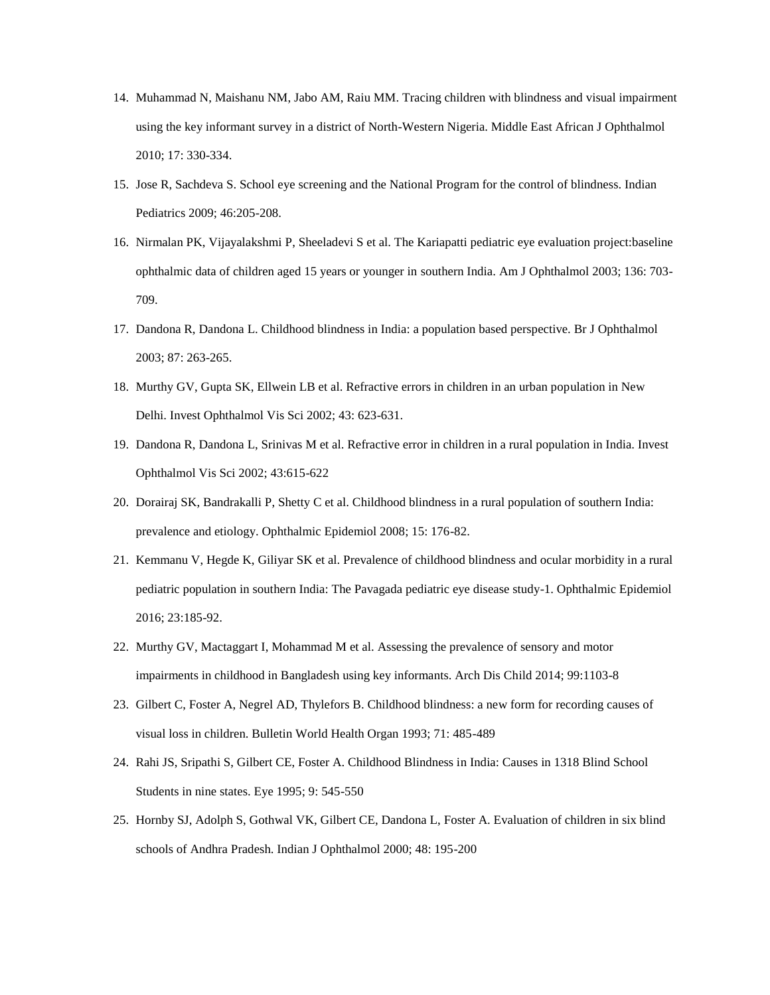- 14. Muhammad N, Maishanu NM, Jabo AM, Raiu MM. Tracing children with blindness and visual impairment using the key informant survey in a district of North-Western Nigeria. Middle East African J Ophthalmol 2010; 17: 330-334.
- 15. Jose R, Sachdeva S. School eye screening and the National Program for the control of blindness. Indian Pediatrics 2009; 46:205-208.
- 16. Nirmalan PK, Vijayalakshmi P, Sheeladevi S et al. The Kariapatti pediatric eye evaluation project:baseline ophthalmic data of children aged 15 years or younger in southern India. Am J Ophthalmol 2003; 136: 703- 709.
- 17. Dandona R, Dandona L. Childhood blindness in India: a population based perspective. Br J Ophthalmol 2003; 87: 263-265.
- 18. Murthy GV, Gupta SK, Ellwein LB et al. Refractive errors in children in an urban population in New Delhi. Invest Ophthalmol Vis Sci 2002; 43: 623-631.
- 19. Dandona R, Dandona L, Srinivas M et al. Refractive error in children in a rural population in India. Invest Ophthalmol Vis Sci 2002; 43:615-622
- 20. Dorairaj SK, Bandrakalli P, Shetty C et al. Childhood blindness in a rural population of southern India: prevalence and etiology. Ophthalmic Epidemiol 2008; 15: 176-82.
- 21. Kemmanu V, Hegde K, Giliyar SK et al. Prevalence of childhood blindness and ocular morbidity in a rural pediatric population in southern India: The Pavagada pediatric eye disease study-1. Ophthalmic Epidemiol 2016; 23:185-92.
- 22. Murthy GV, Mactaggart I, Mohammad M et al. Assessing the prevalence of sensory and motor impairments in childhood in Bangladesh using key informants. Arch Dis Child 2014; 99:1103-8
- 23. Gilbert C, Foster A, Negrel AD, Thylefors B. Childhood blindness: a new form for recording causes of visual loss in children. Bulletin World Health Organ 1993; 71: 485-489
- 24. Rahi JS, Sripathi S, Gilbert CE, Foster A. Childhood Blindness in India: Causes in 1318 Blind School Students in nine states. Eye 1995; 9: 545-550
- 25. Hornby SJ, Adolph S, Gothwal VK, Gilbert CE, Dandona L, Foster A. Evaluation of children in six blind schools of Andhra Pradesh. Indian J Ophthalmol 2000; 48: 195-200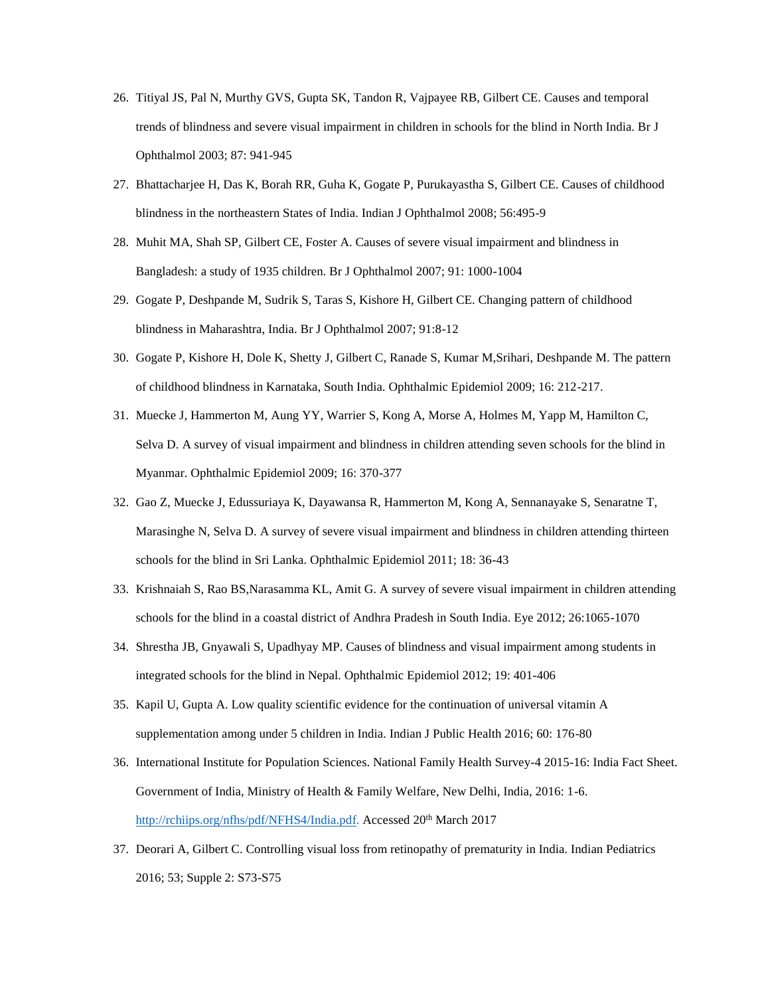- 26. Titiyal JS, Pal N, Murthy GVS, Gupta SK, Tandon R, Vajpayee RB, Gilbert CE. Causes and temporal trends of blindness and severe visual impairment in children in schools for the blind in North India. Br J Ophthalmol 2003; 87: 941-945
- 27. Bhattacharjee H, Das K, Borah RR, Guha K, Gogate P, Purukayastha S, Gilbert CE. Causes of childhood blindness in the northeastern States of India. Indian J Ophthalmol 2008; 56:495-9
- 28. Muhit MA, Shah SP, Gilbert CE, Foster A. Causes of severe visual impairment and blindness in Bangladesh: a study of 1935 children. Br J Ophthalmol 2007; 91: 1000-1004
- 29. Gogate P, Deshpande M, Sudrik S, Taras S, Kishore H, Gilbert CE. Changing pattern of childhood blindness in Maharashtra, India. Br J Ophthalmol 2007; 91:8-12
- 30. Gogate P, Kishore H, Dole K, Shetty J, Gilbert C, Ranade S, Kumar M,Srihari, Deshpande M. The pattern of childhood blindness in Karnataka, South India. Ophthalmic Epidemiol 2009; 16: 212-217.
- 31. Muecke J, Hammerton M, Aung YY, Warrier S, Kong A, Morse A, Holmes M, Yapp M, Hamilton C, Selva D. A survey of visual impairment and blindness in children attending seven schools for the blind in Myanmar. Ophthalmic Epidemiol 2009; 16: 370-377
- 32. Gao Z, Muecke J, Edussuriaya K, Dayawansa R, Hammerton M, Kong A, Sennanayake S, Senaratne T, Marasinghe N, Selva D. A survey of severe visual impairment and blindness in children attending thirteen schools for the blind in Sri Lanka. Ophthalmic Epidemiol 2011; 18: 36-43
- 33. Krishnaiah S, Rao BS,Narasamma KL, Amit G. A survey of severe visual impairment in children attending schools for the blind in a coastal district of Andhra Pradesh in South India. Eye 2012; 26:1065-1070
- 34. Shrestha JB, Gnyawali S, Upadhyay MP. Causes of blindness and visual impairment among students in integrated schools for the blind in Nepal. Ophthalmic Epidemiol 2012; 19: 401-406
- 35. Kapil U, Gupta A. Low quality scientific evidence for the continuation of universal vitamin A supplementation among under 5 children in India. Indian J Public Health 2016; 60: 176-80
- 36. International Institute for Population Sciences. National Family Health Survey-4 2015-16: India Fact Sheet. Government of India, Ministry of Health & Family Welfare, New Delhi, India, 2016: 1-6. [http://rchiips.org/nfhs/pdf/NFHS4/India.pdf.](http://rchiips.org/nfhs/pdf/NFHS4/India.pdf) Accessed 20<sup>th</sup> March 2017
- 37. Deorari A, Gilbert C. Controlling visual loss from retinopathy of prematurity in India. Indian Pediatrics 2016; 53; Supple 2: S73-S75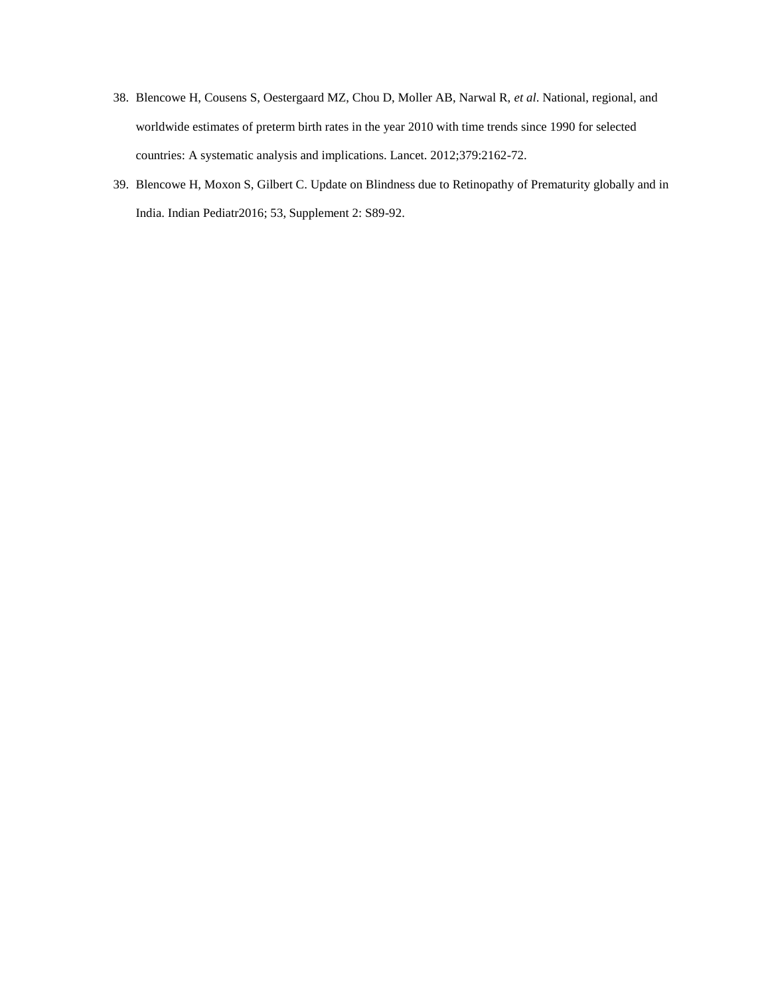- 38. Blencowe H, Cousens S, Oestergaard MZ, Chou D, Moller AB, Narwal R, *et al*. National, regional, and worldwide estimates of preterm birth rates in the year 2010 with time trends since 1990 for selected countries: A systematic analysis and implications. Lancet. 2012;379:2162-72.
- 39. Blencowe H, Moxon S, Gilbert C. Update on Blindness due to Retinopathy of Prematurity globally and in India. Indian Pediatr2016; 53, Supplement 2: S89-92.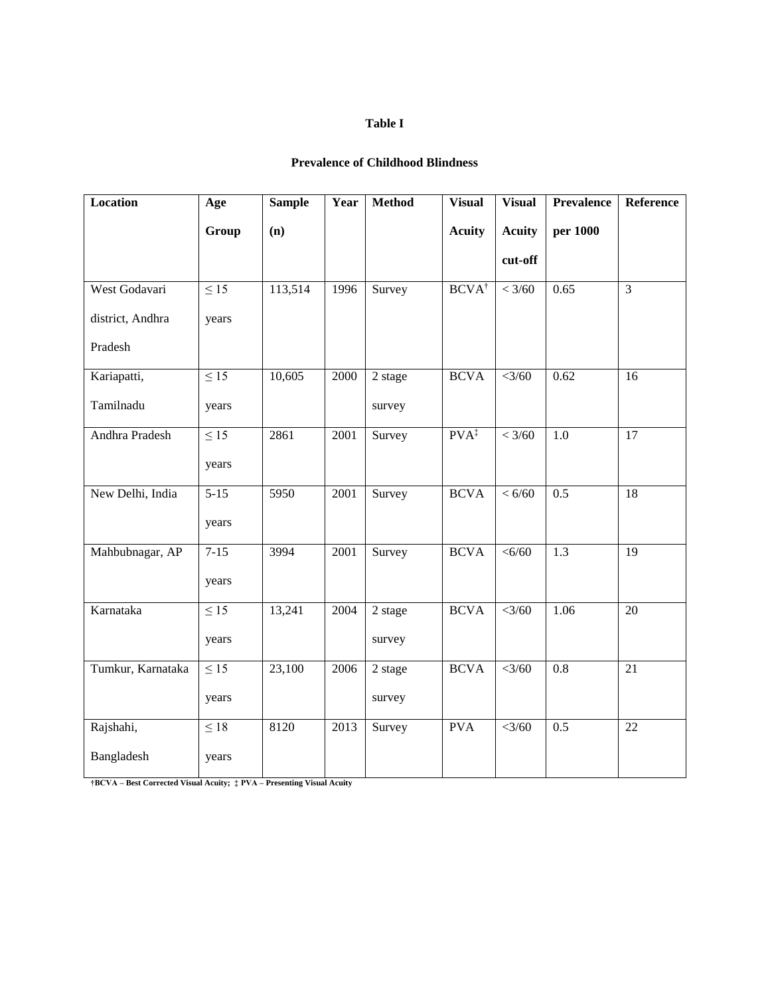## **Table I**

## **Prevalence of Childhood Blindness**

| Location          | Age       | <b>Sample</b> | Year | <b>Method</b> | <b>Visual</b>    | <b>Visual</b> | <b>Prevalence</b> | Reference       |
|-------------------|-----------|---------------|------|---------------|------------------|---------------|-------------------|-----------------|
|                   | Group     | (n)           |      |               | <b>Acuity</b>    | <b>Acuity</b> | per 1000          |                 |
|                   |           |               |      |               |                  | cut-off       |                   |                 |
| West Godavari     | $\leq$ 15 | 113,514       | 1996 | Survey        | $BCVA^{\dagger}$ | < 3/60        | 0.65              | 3               |
| district, Andhra  | years     |               |      |               |                  |               |                   |                 |
| Pradesh           |           |               |      |               |                  |               |                   |                 |
| Kariapatti,       | $\leq$ 15 | 10,605        | 2000 | 2 stage       | <b>BCVA</b>      | $<$ 3/60      | 0.62              | 16              |
| Tamilnadu         | years     |               |      | survey        |                  |               |                   |                 |
| Andhra Pradesh    | $\leq$ 15 | 2861          | 2001 | Survey        | $PVA^{\ddagger}$ | < 3/60        | $1.0\,$           | $\overline{17}$ |
|                   | years     |               |      |               |                  |               |                   |                 |
| New Delhi, India  | $5 - 15$  | 5950          | 2001 | Survey        | <b>BCVA</b>      | < 6/60        | $\overline{0.5}$  | 18              |
|                   | years     |               |      |               |                  |               |                   |                 |
| Mahbubnagar, AP   | $7-15$    | 3994          | 2001 | Survey        | <b>BCVA</b>      | <6/60         | 1.3               | 19              |
|                   | years     |               |      |               |                  |               |                   |                 |
| Karnataka         | $\leq 15$ | 13,241        | 2004 | 2 stage       | <b>BCVA</b>      | <3/60         | 1.06              | 20              |
|                   | years     |               |      | survey        |                  |               |                   |                 |
| Tumkur, Karnataka | $\leq 15$ | 23,100        | 2006 | 2 stage       | <b>BCVA</b>      | <3/60         | $\overline{0.8}$  | 21              |
|                   | years     |               |      | survey        |                  |               |                   |                 |
| Rajshahi,         | $\leq 18$ | 8120          | 2013 | Survey        | <b>PVA</b>       | <3/60         | 0.5               | 22              |
| Bangladesh        | years     |               |      |               |                  |               |                   |                 |

**†BCVA – Best Corrected Visual Acuity; ‡ PVA – Presenting Visual Acuity**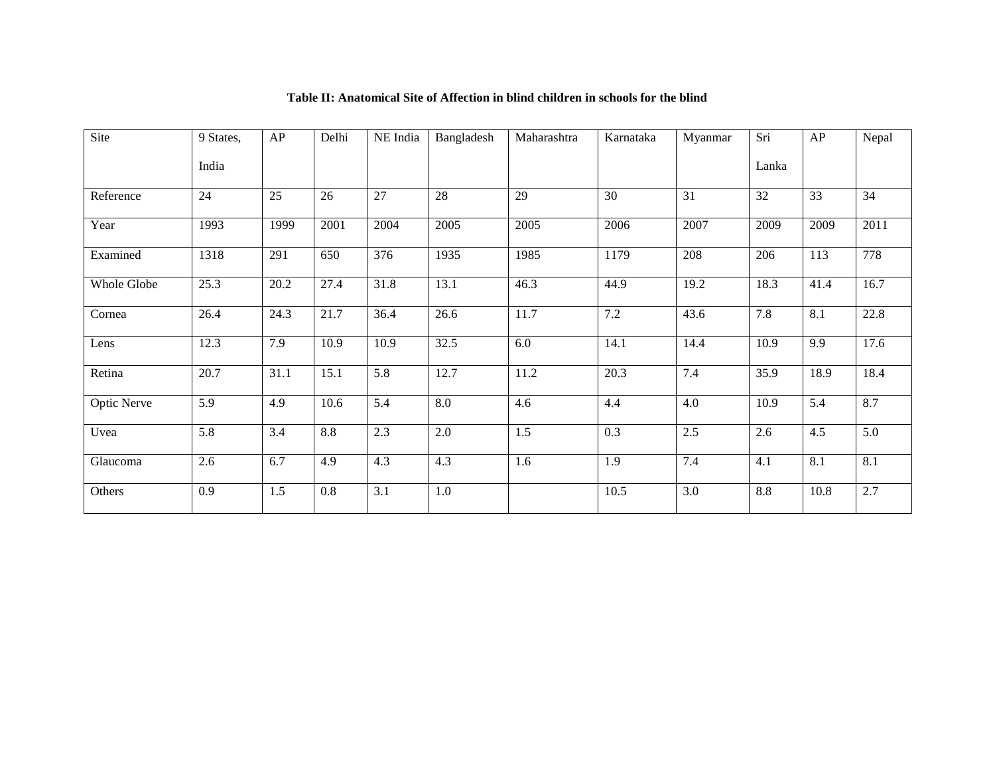| Site               | 9 States, | AP   | Delhi | NE India | Bangladesh | Maharashtra | Karnataka | Myanmar | Sri   | AP   | Nepal |
|--------------------|-----------|------|-------|----------|------------|-------------|-----------|---------|-------|------|-------|
|                    | India     |      |       |          |            |             |           |         | Lanka |      |       |
| Reference          | 24        | 25   | 26    | 27       | 28         | 29          | 30        | 31      | 32    | 33   | 34    |
| Year               | 1993      | 1999 | 2001  | 2004     | 2005       | 2005        | 2006      | 2007    | 2009  | 2009 | 2011  |
| Examined           | 1318      | 291  | 650   | 376      | 1935       | 1985        | 1179      | 208     | 206   | 113  | 778   |
| Whole Globe        | 25.3      | 20.2 | 27.4  | 31.8     | 13.1       | 46.3        | 44.9      | 19.2    | 18.3  | 41.4 | 16.7  |
| Cornea             | 26.4      | 24.3 | 21.7  | 36.4     | 26.6       | 11.7        | 7.2       | 43.6    | 7.8   | 8.1  | 22.8  |
| Lens               | 12.3      | 7.9  | 10.9  | 10.9     | 32.5       | 6.0         | 14.1      | 14.4    | 10.9  | 9.9  | 17.6  |
| Retina             | 20.7      | 31.1 | 15.1  | 5.8      | 12.7       | 11.2        | 20.3      | 7.4     | 35.9  | 18.9 | 18.4  |
| <b>Optic Nerve</b> | 5.9       | 4.9  | 10.6  | 5.4      | $8.0\,$    | 4.6         | 4.4       | 4.0     | 10.9  | 5.4  | 8.7   |
| Uvea               | 5.8       | 3.4  | 8.8   | 2.3      | $2.0\,$    | 1.5         | 0.3       | 2.5     | 2.6   | 4.5  | 5.0   |
| Glaucoma           | 2.6       | 6.7  | 4.9   | 4.3      | 4.3        | 1.6         | 1.9       | 7.4     | 4.1   | 8.1  | 8.1   |
| Others             | 0.9       | 1.5  | 0.8   | 3.1      | 1.0        |             | 10.5      | 3.0     | 8.8   | 10.8 | 2.7   |

## **Table II: Anatomical Site of Affection in blind children in schools for the blind**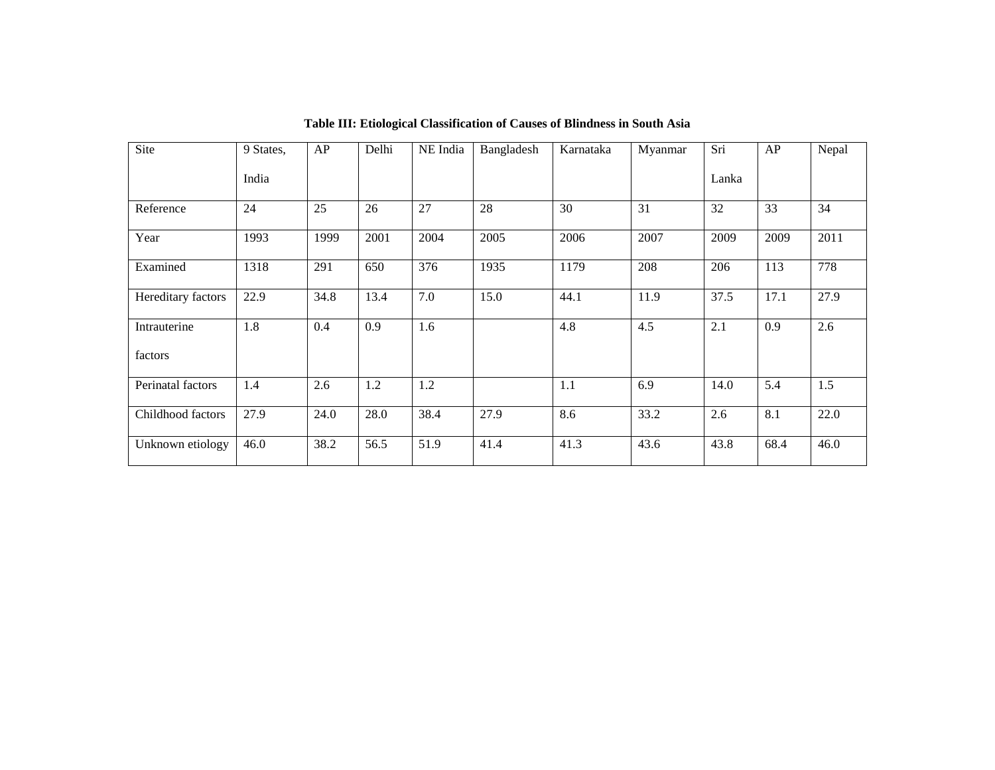| Site               | 9 States, | AP   | Delhi | NE India | Bangladesh | Karnataka | Myanmar | Sri   | AP   | Nepal |
|--------------------|-----------|------|-------|----------|------------|-----------|---------|-------|------|-------|
|                    | India     |      |       |          |            |           |         | Lanka |      |       |
| Reference          | 24        | 25   | 26    | 27       | 28         | 30        | 31      | 32    | 33   | 34    |
| Year               | 1993      | 1999 | 2001  | 2004     | 2005       | 2006      | 2007    | 2009  | 2009 | 2011  |
| Examined           | 1318      | 291  | 650   | 376      | 1935       | 1179      | 208     | 206   | 113  | 778   |
| Hereditary factors | 22.9      | 34.8 | 13.4  | 7.0      | 15.0       | 44.1      | 11.9    | 37.5  | 17.1 | 27.9  |
| Intrauterine       | 1.8       | 0.4  | 0.9   | 1.6      |            | 4.8       | 4.5     | 2.1   | 0.9  | 2.6   |
| factors            |           |      |       |          |            |           |         |       |      |       |
| Perinatal factors  | 1.4       | 2.6  | 1.2   | 1.2      |            | 1.1       | 6.9     | 14.0  | 5.4  | 1.5   |
| Childhood factors  | 27.9      | 24.0 | 28.0  | 38.4     | 27.9       | 8.6       | 33.2    | 2.6   | 8.1  | 22.0  |
| Unknown etiology   | 46.0      | 38.2 | 56.5  | 51.9     | 41.4       | 41.3      | 43.6    | 43.8  | 68.4 | 46.0  |

**Table III: Etiological Classification of Causes of Blindness in South Asia**